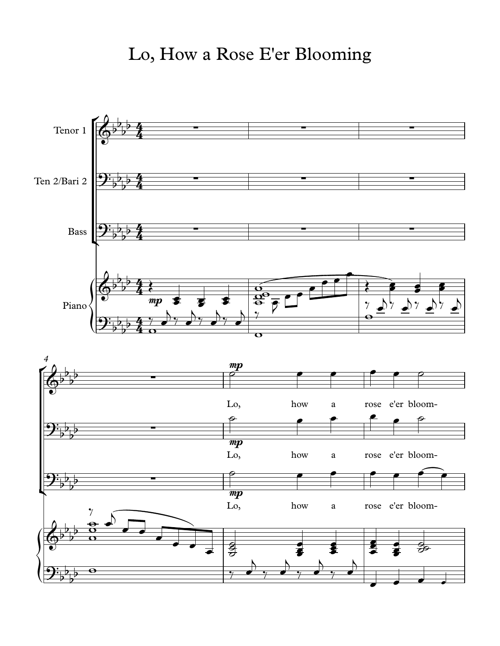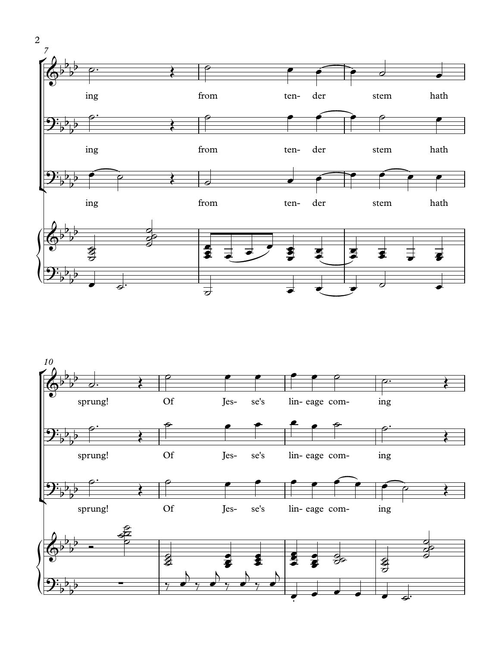

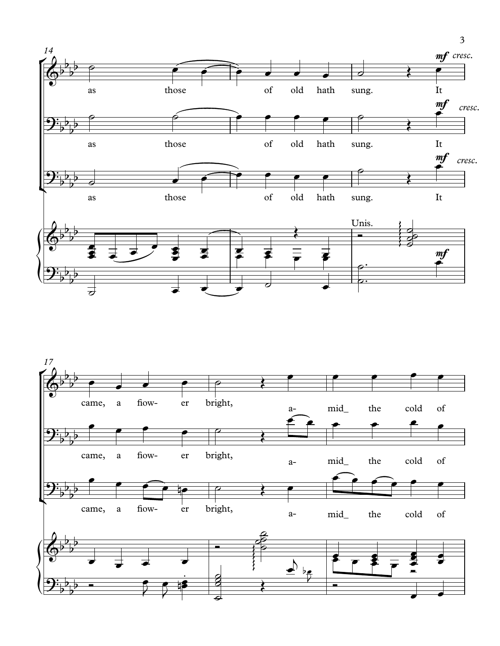

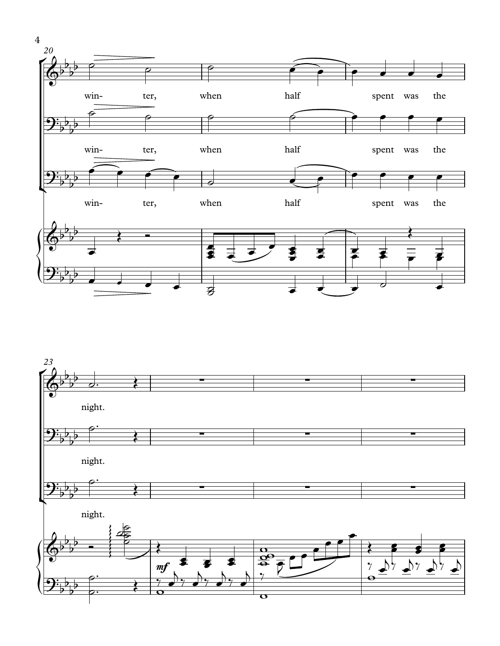

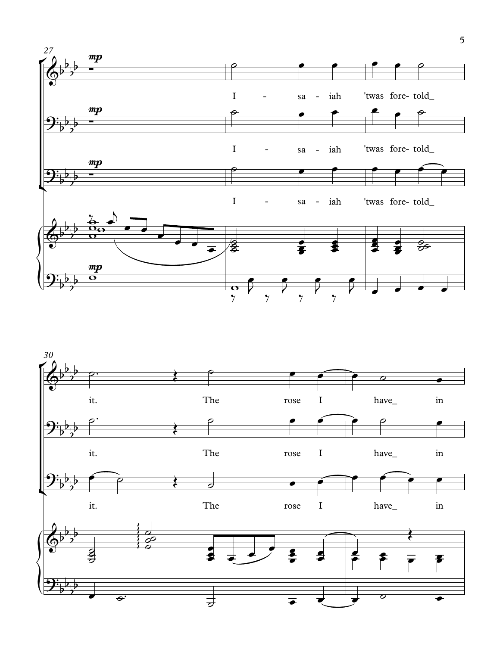

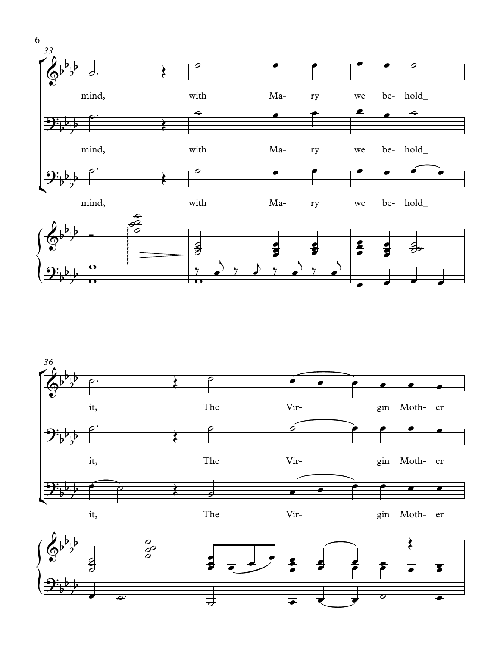

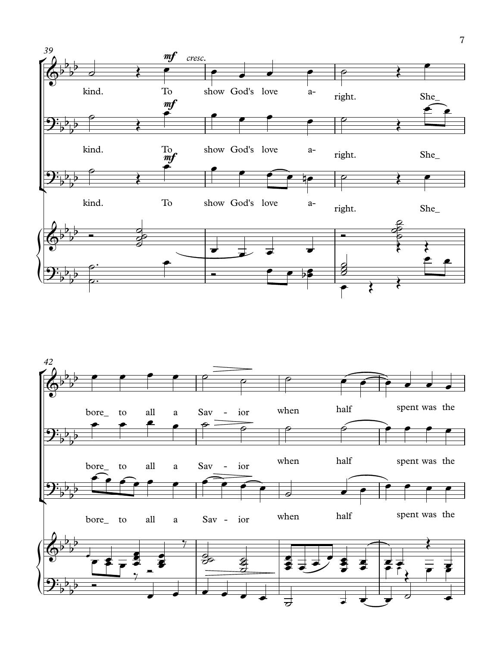